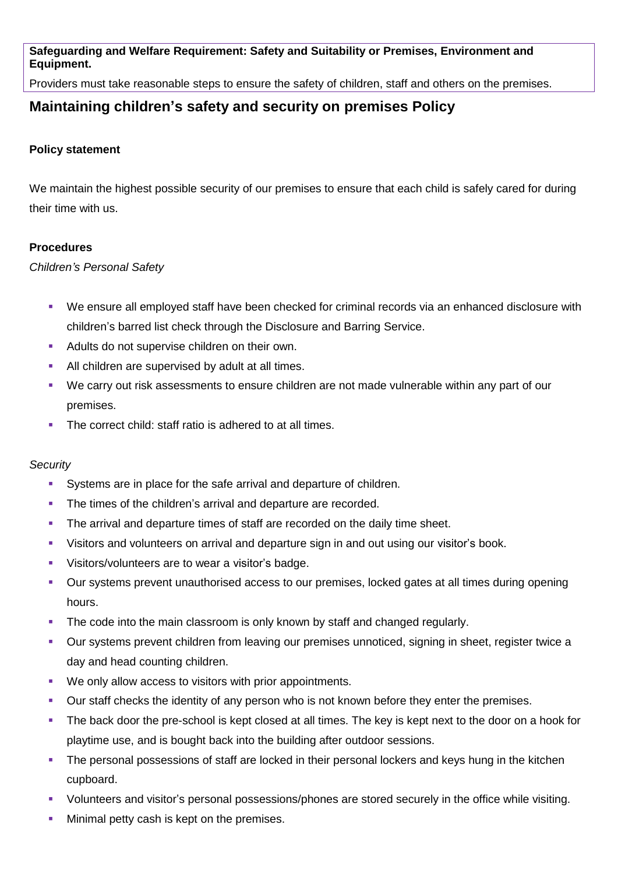**Safeguarding and Welfare Requirement: Safety and Suitability or Premises, Environment and Equipment.** 

Providers must take reasonable steps to ensure the safety of children, staff and others on the premises.

## **Maintaining children's safety and security on premises Policy**

## **Policy statement**

We maintain the highest possible security of our premises to ensure that each child is safely cared for during their time with us.

## **Procedures**

*Children's Personal Safety* 

- We ensure all employed staff have been checked for criminal records via an enhanced disclosure with children's barred list check through the Disclosure and Barring Service.
- Adults do not supervise children on their own.
- All children are supervised by adult at all times.
- We carry out risk assessments to ensure children are not made vulnerable within any part of our premises.
- The correct child: staff ratio is adhered to at all times.

## *Security*

- Systems are in place for the safe arrival and departure of children.
- The times of the children's arrival and departure are recorded.
- The arrival and departure times of staff are recorded on the daily time sheet.
- Visitors and volunteers on arrival and departure sign in and out using our visitor's book.
- Visitors/volunteers are to wear a visitor's badge.
- Our systems prevent unauthorised access to our premises, locked gates at all times during opening hours.
- The code into the main classroom is only known by staff and changed regularly.
- Our systems prevent children from leaving our premises unnoticed, signing in sheet, register twice a day and head counting children.
- We only allow access to visitors with prior appointments.
- Our staff checks the identity of any person who is not known before they enter the premises.
- The back door the pre-school is kept closed at all times. The key is kept next to the door on a hook for playtime use, and is bought back into the building after outdoor sessions.
- The personal possessions of staff are locked in their personal lockers and keys hung in the kitchen cupboard.
- Volunteers and visitor's personal possessions/phones are stored securely in the office while visiting.
- Minimal petty cash is kept on the premises.